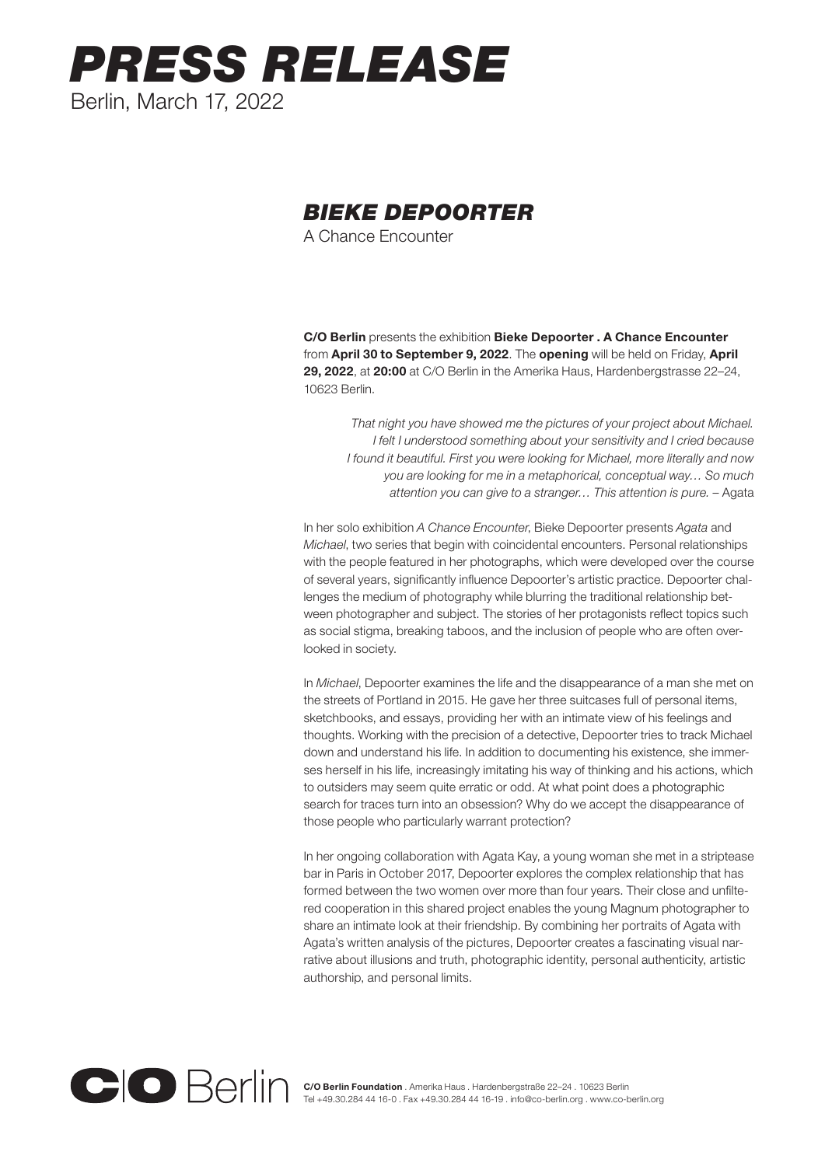## *PRESS RELEASE* Berlin, March 17, 2022

## *BIEKE DEPOORTER*

A Chance Encounter

C/O Berlin presents the exhibition Bieke Depoorter . A Chance Encounter from April 30 to September 9, 2022. The opening will be held on Friday, April 29, 2022, at 20:00 at C/O Berlin in the Amerika Haus, Hardenbergstrasse 22–24, 10623 Berlin.

*That night you have showed me the pictures of your project about Michael. I felt I understood something about your sensitivity and I cried because I found it beautiful. First you were looking for Michael, more literally and now you are looking for me in a metaphorical, conceptual way… So much attention you can give to a stranger… This attention is pure. –* Agata

In her solo exhibition *A Chance Encounter*, Bieke Depoorter presents *Agata* and *Michael*, two series that begin with coincidental encounters. Personal relationships with the people featured in her photographs, which were developed over the course of several years, significantly influence Depoorter's artistic practice. Depoorter challenges the medium of photography while blurring the traditional relationship between photographer and subject. The stories of her protagonists reflect topics such as social stigma, breaking taboos, and the inclusion of people who are often overlooked in society.

In *Michael*, Depoorter examines the life and the disappearance of a man she met on the streets of Portland in 2015. He gave her three suitcases full of personal items, sketchbooks, and essays, providing her with an intimate view of his feelings and thoughts. Working with the precision of a detective, Depoorter tries to track Michael down and understand his life. In addition to documenting his existence, she immerses herself in his life, increasingly imitating his way of thinking and his actions, which to outsiders may seem quite erratic or odd. At what point does a photographic search for traces turn into an obsession? Why do we accept the disappearance of those people who particularly warrant protection?

In her ongoing collaboration with Agata Kay, a young woman she met in a striptease bar in Paris in October 2017, Depoorter explores the complex relationship that has formed between the two women over more than four years. Their close and unfiltered cooperation in this shared project enables the young Magnum photographer to share an intimate look at their friendship. By combining her portraits of Agata with Agata's written analysis of the pictures, Depoorter creates a fascinating visual narrative about illusions and truth, photographic identity, personal authenticity, artistic authorship, and personal limits.

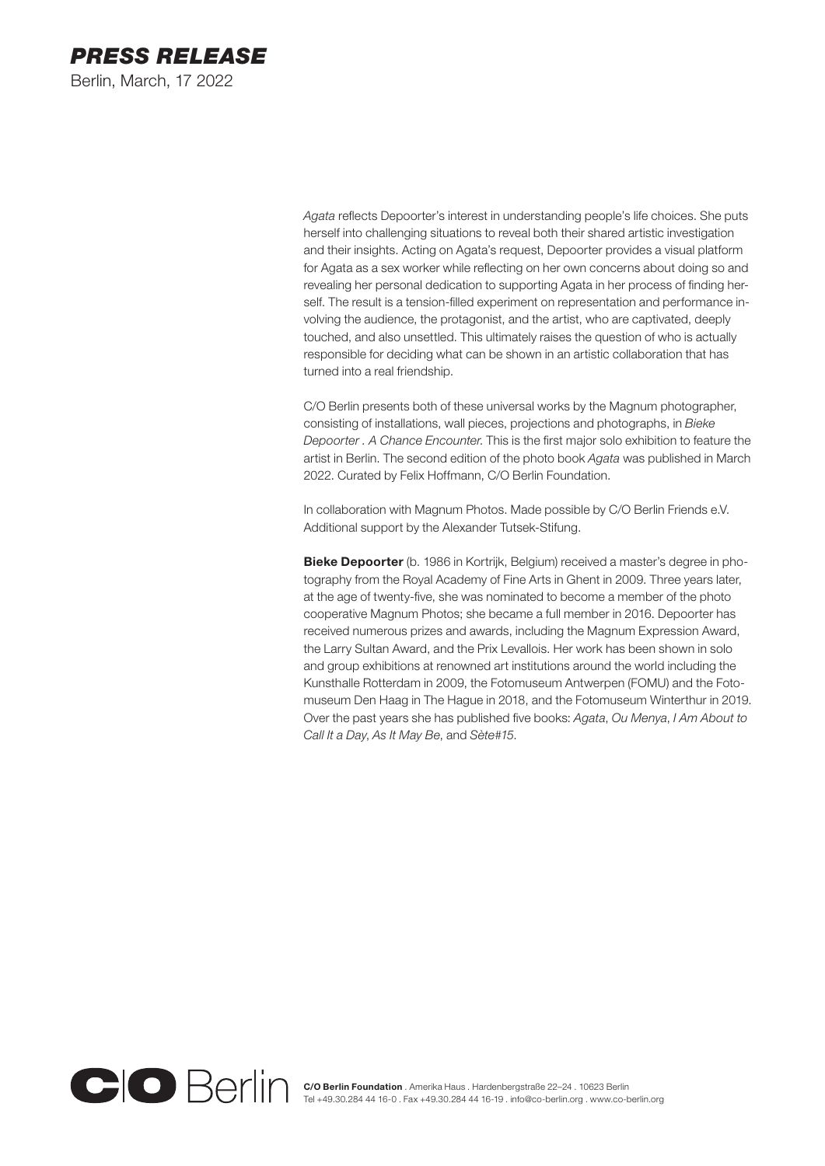

*Agata* reflects Depoorter's interest in understanding people's life choices. She puts herself into challenging situations to reveal both their shared artistic investigation and their insights. Acting on Agata's request, Depoorter provides a visual platform for Agata as a sex worker while reflecting on her own concerns about doing so and revealing her personal dedication to supporting Agata in her process of finding herself. The result is a tension-filled experiment on representation and performance involving the audience, the protagonist, and the artist, who are captivated, deeply touched, and also unsettled. This ultimately raises the question of who is actually responsible for deciding what can be shown in an artistic collaboration that has turned into a real friendship.

C/O Berlin presents both of these universal works by the Magnum photographer, consisting of installations, wall pieces, projections and photographs, in *Bieke Depoorter . A Chance Encounter*. This is the first major solo exhibition to feature the artist in Berlin. The second edition of the photo book *Agata* was published in March 2022. Curated by Felix Hoffmann, C/O Berlin Foundation.

In collaboration with Magnum Photos. Made possible by C/O Berlin Friends e.V. Additional support by the Alexander Tutsek-Stifung.

Bieke Depoorter (b. 1986 in Kortrijk, Belgium) received a master's degree in photography from the Royal Academy of Fine Arts in Ghent in 2009. Three years later, at the age of twenty-five, she was nominated to become a member of the photo cooperative Magnum Photos; she became a full member in 2016. Depoorter has received numerous prizes and awards, including the Magnum Expression Award, the Larry Sultan Award, and the Prix Levallois. Her work has been shown in solo and group exhibitions at renowned art institutions around the world including the Kunsthalle Rotterdam in 2009, the Fotomuseum Antwerpen (FOMU) and the Fotomuseum Den Haag in The Hague in 2018, and the Fotomuseum Winterthur in 2019. Over the past years she has published five books: *Agata*, *Ou Menya*, *I Am About to Call It a Day*, *As It May Be*, and *Sète#15*.